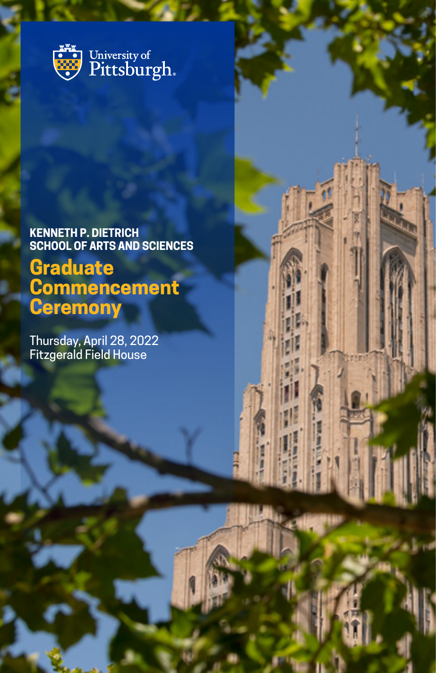

**KENNETH P. DIETRICH SCHOOL OF ARTS AND SCIENCES**

**Graduate Commencement Ceremony**

Thursday, April 28, 2022 Fitzgerald Field House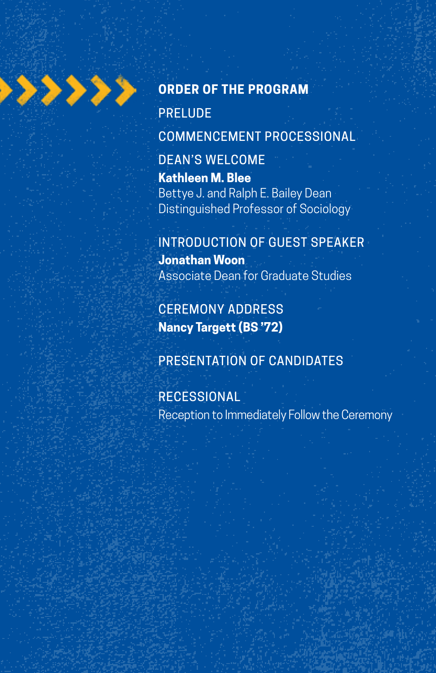

## **ORDER OF THE PROGRAM**

PRELUDE COMMENCEMENT PROCESSIONAL

DEAN'S WELCOME **Kathleen M. Blee** Bettye J. and Ralph E. Bailey Dean Distinguished Professor of Sociology

INTRODUCTION OF GUEST SPEAKER **Jonathan Woon** Associate Dean for Graduate Studies

CEREMONY ADDRESS **Nancy Targett (BS '72)**

PRESENTATION OF CANDIDATES

RECESSIONAL Reception to Immediately Follow the Ceremony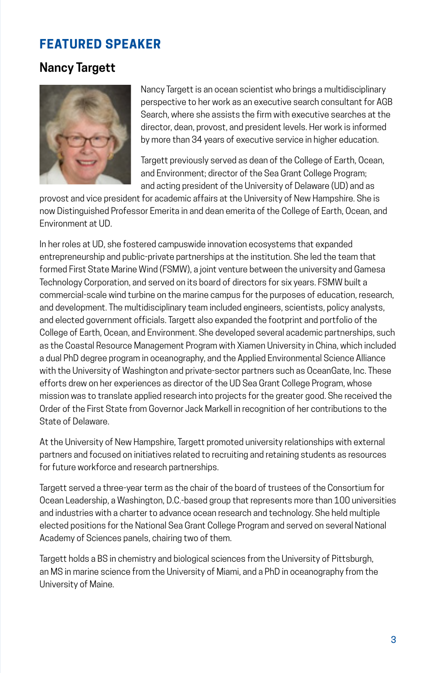## **FEATURED SPEAKER**

### **Nancy Targett**



Nancy Targett is an ocean scientist who brings a multidisciplinary perspective to her work as an executive search consultant for AGB Search, where she assists the firm with executive searches at the director, dean, provost, and president levels. Her work is informed by more than 34 years of executive service in higher education.

Targett previously served as dean of the College of Earth, Ocean, and Environment; director of the Sea Grant College Program; and acting president of the University of Delaware (UD) and as

provost and vice president for academic affairs at the University of New Hampshire. She is now Distinguished Professor Emerita in and dean emerita of the College of Earth, Ocean, and Environment at UD.

In her roles at UD, she fostered campuswide innovation ecosystems that expanded entrepreneurship and public-private partnerships at the institution. She led the team that formed First State Marine Wind (FSMW), a joint venture between the university and Gamesa Technology Corporation, and served on its board of directors for six years. FSMW built a commercial-scale wind turbine on the marine campus for the purposes of education, research, and development. The multidisciplinary team included engineers, scientists, policy analysts, and elected government officials. Targett also expanded the footprint and portfolio of the College of Earth, Ocean, and Environment. She developed several academic partnerships, such as the Coastal Resource Management Program with Xiamen University in China, which included a dual PhD degree program in oceanography, and the Applied Environmental Science Alliance with the University of Washington and private-sector partners such as OceanGate, Inc. These efforts drew on her experiences as director of the UD Sea Grant College Program, whose mission was to translate applied research into projects for the greater good. She received the Order of the First State from Governor Jack Markell in recognition of her contributions to the State of Delaware.

At the University of New Hampshire, Targett promoted university relationships with external partners and focused on initiatives related to recruiting and retaining students as resources for future workforce and research partnerships.

Targett served a three-year term as the chair of the board of trustees of the Consortium for Ocean Leadership, a Washington, D.C.-based group that represents more than 100 universities and industries with a charter to advance ocean research and technology. She held multiple elected positions for the National Sea Grant College Program and served on several National Academy of Sciences panels, chairing two of them.

Targett holds a BS in chemistry and biological sciences from the University of Pittsburgh, an MS in marine science from the University of Miami, and a PhD in oceanography from the University of Maine.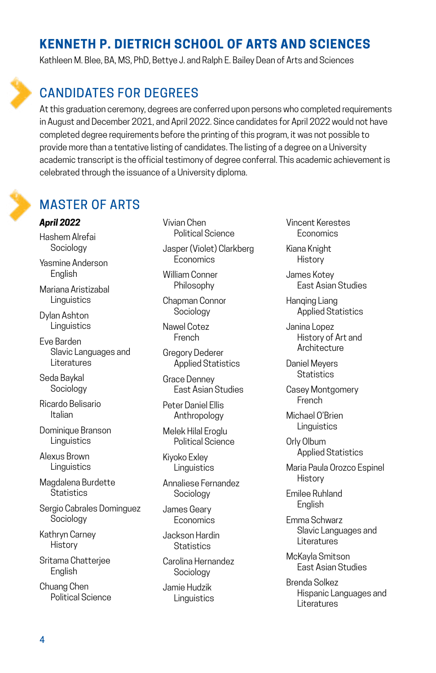# **KENNETH P. DIETRICH SCHOOL OF ARTS AND SCIENCES**

Kathleen M. Blee, BA, MS, PhD, Bettye J. and Ralph E. Bailey Dean of Arts and Sciences

# CANDIDATES FOR DEGREES

At this graduation ceremony, degrees are conferred upon persons who completed requirements in August and December 2021, and April 2022. Since candidates for April 2022 would not have completed degree requirements before the printing of this program, it was not possible to provide more than a tentative listing of candidates. The listing of a degree on a University academic transcript is the official testimony of degree conferral. This academic achievement is celebrated through the issuance of a University diploma.



### MASTER OF ARTS *April 2022*

Hashem Alrefai Sociology

Yasmine Anderson **English** 

Mariana Aristizabal Linguistics

Dylan Ashton **Linguistics** 

Eve Barden Slavic Languages and Literatures

Seda Baykal Sociology

Ricardo Belisario Italian

Dominique Branson Linguistics

Alexus Brown **Linguistics** 

Magdalena Burdette **Statistics** 

Sergio Cabrales Dominguez Sociology

Kathryn Carney History

Sritama Chatterjee English

Chuang Chen Political Science Vivian Chen Political Science

Jasper (Violet) Clarkberg Economics

William Conner Philosophy

Chapman Connor Sociology

Nawel Cotez French

Gregory Dederer Applied Statistics

Grace Denney East Asian Studies

Peter Daniel Ellis Anthropology

Melek Hilal Eroglu Political Science

Kiyoko Exley **Linguistics** 

Annaliese Fernandez Sociology

James Geary **Fconomics** 

Jackson Hardin **Statistics** 

Carolina Hernandez Sociology

Jamie Hudzik **Linguistics**  Vincent Kerestes **Economics** 

Kiana Knight **History** 

James Kotey East Asian Studies

Hanqing Liang Applied Statistics

Janina Lopez History of Art and **Architecture** 

Daniel Meyers **Statistics** 

Casey Montgomery French

Michael O'Brien **Linguistics** 

Orly Olbum Applied Statistics

Maria Paula Orozco Espinel History

Emilee Ruhland English

Emma Schwarz Slavic Languages and Literatures

McKayla Smitson East Asian Studies

Brenda Solkez Hispanic Languages and **Literatures**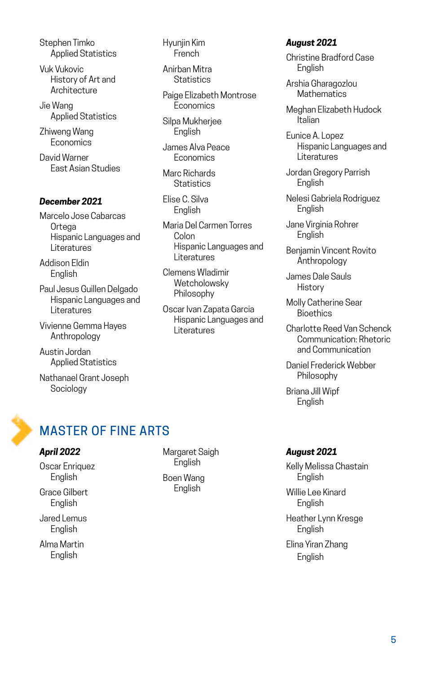Stephen Timko Applied Statistics

Vuk Vukovic History of Art and **Architecture** 

Jie Wang Applied Statistics

Zhiweng Wang **Economics** 

David Warner East Asian Studies

#### *December 2021*

Marcelo Jose Cabarcas Ortega Hispanic Languages and Literatures

Addison Eldin English

Paul Jesus Guillen Delgado Hispanic Languages and Literatures

Vivienne Gemma Hayes Anthropology

Austin Jordan Applied Statistics

Nathanael Grant Joseph Sociology

Hyunjin Kim French

Anirban Mitra **Statistics** 

Paige Elizabeth Montrose Economics

Silpa Mukherjee English

James Alva Peace **Economics** 

Marc Richards **Statistics** 

Elise C. Silva English

Maria Del Carmen Torres Colon Hispanic Languages and Literatures

Clemens Wladimir Wetcholowsky Philosophy

Oscar Ivan Zapata Garcia Hispanic Languages and Literatures

*August 2021*

Christine Bradford Case English

Arshia Gharagozlou **Mathematics** 

Meghan Elizabeth Hudock Italian

Eunice A. Lopez Hispanic Languages and **Literatures** 

Jordan Gregory Parrish English

Nelesi Gabriela Rodriguez English

Jane Virginia Rohrer **English** 

Benjamin Vincent Rovito Anthropology

James Dale Sauls History

Molly Catherine Sear **Bioethics** 

Charlotte Reed Van Schenck Communication: Rhetoric and Communication

Daniel Frederick Webber Philosophy

Briana Jill Wipf **English** 

# MASTER OF FINE ARTS

#### *April 2022*

Oscar Enriquez **English** 

Grace Gilbert English

Jared Lemus **English** 

Alma Martin **English** 

Margaret Saigh English

Boen Wang English

#### *August 2021*

Kelly Melissa Chastain **English** 

Willie Lee Kinard English

Heather Lynn Kresge English

Elina Yiran Zhang English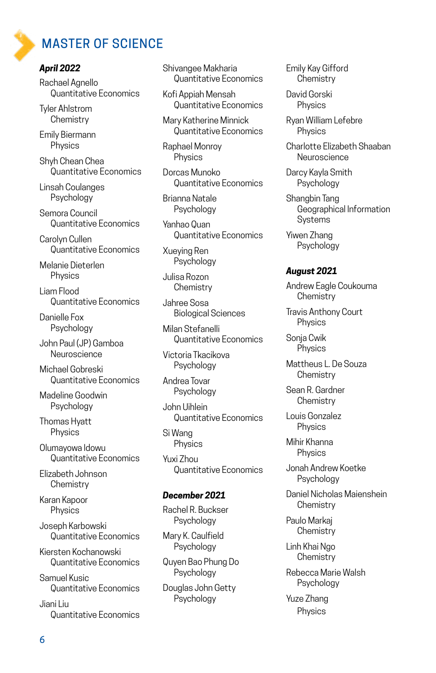# MASTER OF SCIENCE

#### *April 2022*

Rachael Agnello Quantitative Economics

Tyler Ahlstrom **Chemistry** 

Emily Biermann Physics

Shyh Chean Chea Quantitative Economics

Linsah Coulanges Psychology

Semora Council Quantitative Economics

Carolyn Cullen Quantitative Economics

Melanie Dieterlen **Physics** 

Liam Flood Quantitative Economics

Danielle Fox Psychology

John Paul (JP) Gamboa Neuroscience

Michael Gobreski Quantitative Economics

Madeline Goodwin Psychology

Thomas Hyatt Physics

Olumayowa Idowu Quantitative Economics

Elizabeth Johnson **Chemistry** 

Karan Kapoor Physics

Joseph Karbowski Quantitative Economics

Kiersten Kochanowski Quantitative Economics

Samuel Kusic Quantitative Economics Jiani Liu

Quantitative Economics

Shivangee Makharia Quantitative Economics

Kofi Appiah Mensah Quantitative Economics

Mary Katherine Minnick Quantitative Economics

Raphael Monroy **Physics** 

Dorcas Munoko Quantitative Economics

Brianna Natale Psychology

Yanhao Quan Quantitative Economics

Xueying Ren Psychology

Julisa Rozon **Chemistry** 

Jahree Sosa Biological Sciences

Milan Stefanelli Quantitative Economics

Victoria Tkacikova **Psychology** 

Andrea Tovar Psychology

John Uihlein Quantitative Economics

Si Wang **Physics** 

Yuxi Zhou Quantitative Economics

#### *December 2021*

Rachel R. Buckser Psychology

Mary K. Caulfield Psychology

Quyen Bao Phung Do Psychology

Douglas John Getty Psychology

Emily Kay Gifford **Chemistry** 

David Gorski **Physics** 

Ryan William Lefebre Physics

Charlotte Elizabeth Shaaban Neuroscience

Darcy Kayla Smith Psychology

Shangbin Tang Geographical Information **Systems** 

Yiwen Zhang Psychology

#### *August 2021*

Andrew Eagle Coukouma **Chemistry** 

Travis Anthony Court **Physics** 

Sonja Cwik **Physics** 

Mattheus L. De Souza **Chemistry** 

Sean R. Gardner **Chemistry** 

Louis Gonzalez **Physics** 

Mihir Khanna **Physics** 

Jonah Andrew Koetke Psychology

Daniel Nicholas Maienshein **Chemistry** 

Paulo Markaj **Chemistry** 

Linh Khai Ngo **Chemistry** 

Rebecca Marie Walsh **Psychology** 

Yuze Zhang **Physics**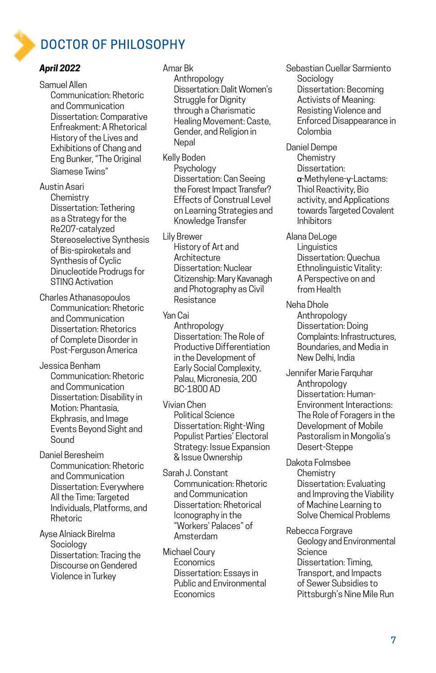# DOCTOR OF PHILOSOPHY

### *April 2022*

Samuel Allen Communication: Rhetoric and Communication Dissertation: Comparative Enfreakment: A Rhetorical History of the Lives and Exhibitions of Chang and Eng Bunker, "The Original Siamese Twins"

Austin Asari **Chemistry** Dissertation: Tethering as a Strategy for the Re207-catalyzed Stereoselective Synthesis of Bis-spiroketals and Synthesis of Cyclic Dinucleotide Prodrugs for STING Activation

Charles Athanasopoulos Communication: Rhetoric and Communication Dissertation: Rhetorics of Complete Disorder in Post-Ferguson America

- Jessica Benham Communication: Rhetoric and Communication Dissertation: Disability in Motion: Phantasia, Ekphrasis, and Image Events Beyond Sight and Sound
- Daniel Beresheim Communication: Rhetoric and Communication Dissertation: Everywhere All the Time: Targeted Individuals, Platforms, and Rhetoric

Ayse Alniack Birelma Sociology Dissertation: Tracing the Discourse on Gendered Violence in Turkey

Amar Bk Anthropology Dissertation: Dalit Women's Struggle for Dignity through a Charismatic Healing Movement: Caste, Gender, and Religion in **Nepal** 

Kelly Boden **Psychology** Dissertation: Can Seeing the Forest Impact Transfer? Effects of Construal Level on Learning Strategies and Knowledge Transfer

Lily Brewer History of Art and **Architecture** Dissertation: Nuclear Citizenship: Mary Kavanagh and Photography as Civil Resistance

Yan Cai Anthropology Dissertation: The Role of Productive Differentiation in the Development of Early Social Complexity, Palau, Micronesia, 200 BC-1800 AD

Vivian Chen Political Science Dissertation: Right-Wing Populist Parties' Electoral Strategy: Issue Expansion & Issue Ownership

Sarah J. Constant Communication: Rhetoric and Communication Dissertation: Rhetorical Iconography in the "Workers' Palaces" of Amsterdam

Michael Coury **Economics** Dissertation: Essays in Public and Environmental Economics

Sebastian Cuellar Sarmiento Sociology Dissertation: Becoming Activists of Meaning: Resisting Violence and Enforced Disappearance in Colombia

Daniel Dempe **Chemistry** Dissertation: α-Methylene-y-Lactams: Thiol Reactivity, Bio activity, and Applications towards Targeted Covalent Inhibitors

Alana DeLoge **Linguistics** Dissertation: Quechua Ethnolinguistic Vitality: A Perspective on and from Health

Neha Dhole Anthropology Dissertation: Doing Complaints: Infrastructures, Boundaries, and Media in New Delhi, India

Jennifer Marie Farquhar Anthropology Dissertation: Human-Environment Interactions: The Role of Foragers in the Development of Mobile Pastoralism in Mongolia's Desert-Steppe

Dakota Folmsbee **Chemistry** Dissertation: Evaluating and Improving the Viability of Machine Learning to Solve Chemical Problems

Rebecca Forgrave Geology and Environmental Science Dissertation: Timing, Transport, and Impacts of Sewer Subsidies to Pittsburgh's Nine Mile Run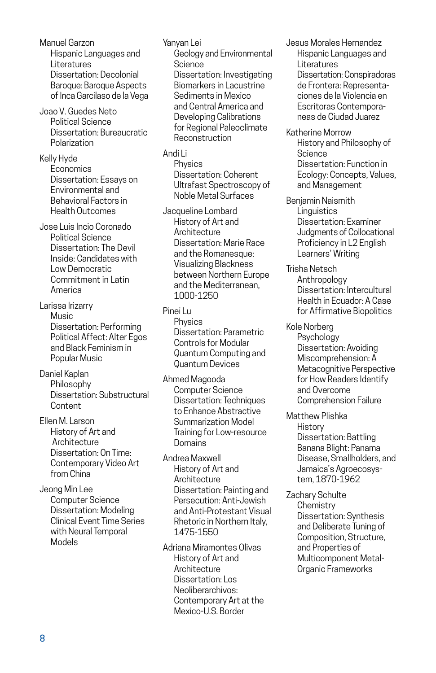- Manuel Garzon Hispanic Languages and Literatures Dissertation: Decolonial Baroque: Baroque Aspects of Inca Garcilaso de la Vega
- Joao V. Guedes Neto Political Science Dissertation: Bureaucratic Polarization

Kelly Hyde **Economics** Dissertation: Essays on Environmental and Behavioral Factors in Health Outcomes

Jose Luis Incio Coronado Political Science Dissertation: The Devil Inside: Candidates with Low Democratic Commitment in Latin America

Larissa Irizarry **Music** Dissertation: Performing Political Affect: Alter Egos and Black Feminism in Popular Music

Daniel Kaplan Philosophy Dissertation: Substructural Content

Ellen M. Larson History of Art and **Architecture** Dissertation: On Time: Contemporary Video Art from China

Jeong Min Lee Computer Science Dissertation: Modeling Clinical Event Time Series with Neural Temporal Models

Yanyan Lei

- Geology and Environmental Science Dissertation: Investigating Biomarkers in Lacustrine Sediments in Mexico and Central America and Developing Calibrations for Regional Paleoclimate Reconstruction
- Andi Li

Physics Dissertation: Coherent Ultrafast Spectroscopy of Noble Metal Surfaces

Jacqueline Lombard History of Art and **Architecture** Dissertation: Marie Race and the Romanesque: Visualizing Blackness between Northern Europe and the Mediterranean, 1000-1250

Pinei Lu **Physics** Dissertation: Parametric Controls for Modular Quantum Computing and Quantum Devices

Ahmed Magooda Computer Science Dissertation: Techniques to Enhance Abstractive Summarization Model Training for Low-resource Domains

Andrea Maxwell History of Art and **Architecture** Dissertation: Painting and Persecution: Anti-Jewish and Anti-Protestant Visual Rhetoric in Northern Italy, 1475-1550

Adriana Miramontes Olivas History of Art and **Architecture** Dissertation: Los Neoliberarchivos: Contemporary Art at the Mexico-U.S. Border

Jesus Morales Hernandez Hispanic Languages and Literatures Dissertation: Conspiradoras de Frontera: Representaciones de la Violencia en Escritoras Contemporaneas de Ciudad Juarez

Katherine Morrow History and Philosophy of Science Dissertation: Function in Ecology: Concepts, Values, and Management

Benjamin Naismith **Linguistics** Dissertation: Examiner Judgments of Collocational Proficiency in L2 English Learners' Writing

Trisha Netsch Anthropology Dissertation: Intercultural Health in Ecuador: A Case for Affirmative Biopolitics

Kole Norberg Psychology Dissertation: Avoiding Miscomprehension: A Metacognitive Perspective for How Readers Identify and Overcome Comprehension Failure

Matthew Plishka History Dissertation: Battling Banana Blight: Panama Disease, Smallholders, and Jamaica's Agroecosystem, 1870-1962

Zachary Schulte **Chemistry** Dissertation: Synthesis and Deliberate Tuning of Composition, Structure, and Properties of Multicomponent Metal-Organic Frameworks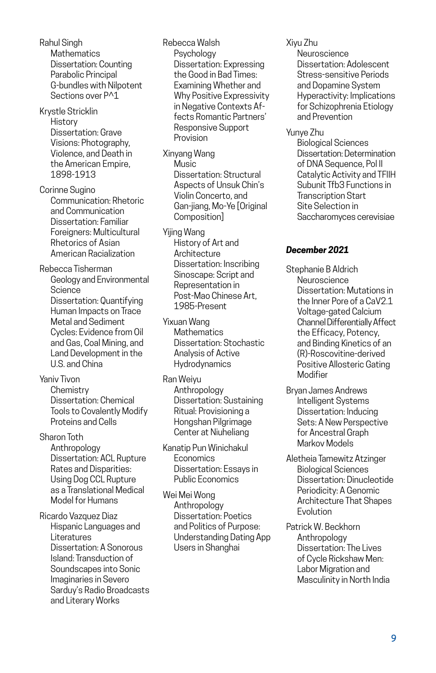- Rahul Singh **Mathematics** Dissertation: Counting Parabolic Principal G-bundles with Nilpotent Sections over P^1
- Krystle Stricklin History Dissertation: Grave Visions: Photography, Violence, and Death in the American Empire, 1898-1913
- Corinne Sugino Communication: Rhetoric and Communication Dissertation: Familiar Foreigners: Multicultural Rhetorics of Asian American Racialization
- Rebecca Tisherman Geology and Environmental Science Dissertation: Quantifying Human Impacts on Trace Metal and Sediment Cycles: Evidence from Oil and Gas, Coal Mining, and Land Development in the U.S. and China
- Yaniv Tivon **Chemistry** Dissertation: Chemical Tools to Covalently Modify Proteins and Cells
- Sharon Toth Anthropology Dissertation: ACL Rupture Rates and Disparities: Using Dog CCL Rupture as a Translational Medical Model for Humans
- Ricardo Vazquez Diaz Hispanic Languages and Literatures Dissertation: A Sonorous Island: Transduction of Soundscapes into Sonic Imaginaries in Severo Sarduy's Radio Broadcasts and Literary Works

Rebecca Walsh **Psychology** Dissertation: Expressing the Good in Bad Times: Examining Whether and Why Positive Expressivity in Negative Contexts Affects Romantic Partners' Responsive Support Provision

- Xinyang Wang Music Dissertation: Structural Aspects of Unsuk Chin's Violin Concerto, and Gan-jiang, Mo-Ye [Original Composition]
- Yijing Wang History of Art and **Architecture** Dissertation: Inscribing Sinoscape: Script and Representation in Post-Mao Chinese Art, 1985-Present
- Yixuan Wang **Mathematics** Dissertation: Stochastic Analysis of Active Hydrodynamics
- Ran Weiyu Anthropology Dissertation: Sustaining Ritual: Provisioning a Hongshan Pilgrimage Center at Niuheliang
- Kanatip Pun Winichakul **Economics** Dissertation: Essays in Public Economics
- Wei Mei Wong Anthropology Dissertation: Poetics and Politics of Purpose: Understanding Dating App Users in Shanghai

Xiyu Zhu

- **Neuroscience** Dissertation: Adolescent Stress-sensitive Periods and Dopamine System Hyperactivity: Implications for Schizophrenia Etiology and Prevention
- Yunye Zhu

Biological Sciences Dissertation: Determination of DNA Sequence, Pol II Catalytic Activity and TFIIH Subunit Tfb3 Functions in Transcription Start Site Selection in Saccharomyces cerevisiae

### *December 2021*

- Stephanie B Aldrich Neuroscience Dissertation: Mutations in the Inner Pore of a CaV2.1 Voltage-gated Calcium Channel Differentially Affect the Efficacy, Potency, and Binding Kinetics of an (R)-Roscovitine-derived Positive Allosteric Gating Modifier
- Bryan James Andrews Intelligent Systems Dissertation: Inducing Sets: A New Perspective for Ancestral Graph Markov Models
- Aletheia Tamewitz Atzinger Biological Sciences Dissertation: Dinucleotide Periodicity: A Genomic Architecture That Shapes Evolution
- Patrick W. Beckhorn Anthropology Dissertation: The Lives of Cycle Rickshaw Men: Labor Migration and Masculinity in North India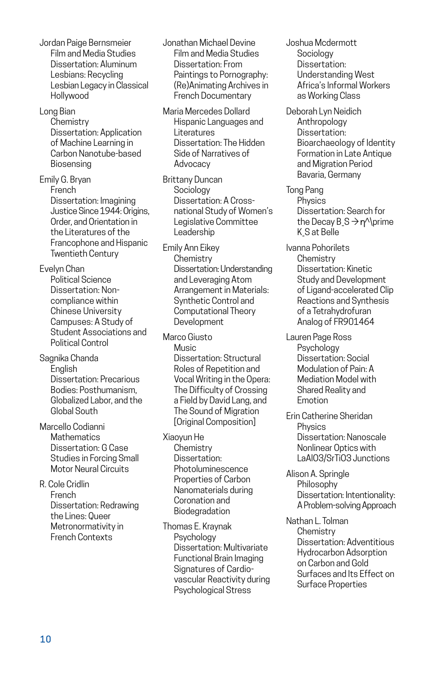Jordan Paige Bernsmeier Film and Media Studies Dissertation: Aluminum Lesbians: Recycling Lesbian Legacy in Classical Hollywood

Long Bian **Chemistry** Dissertation: Application of Machine Learning in Carbon Nanotube-based Biosensing

Emily G. Bryan French Dissertation: Imagining Justice Since 1944: Origins, Order, and Orientation in the Literatures of the Francophone and Hispanic Twentieth Century

Evelyn Chan Political Science Dissertation: Noncompliance within Chinese University Campuses: A Study of Student Associations and Political Control

Sagnika Chanda English Dissertation: Precarious Bodies: Posthumanism, Globalized Labor, and the Global South

Marcello Codianni **Mathematics** Dissertation: G Case Studies in Forcing Small Motor Neural Circuits

R. Cole Cridlin French Dissertation: Redrawing the Lines: Queer Metronormativity in French Contexts

Jonathan Michael Devine Film and Media Studies Dissertation: From Paintings to Pornography: (Re)Animating Archives in French Documentary

Maria Mercedes Dollard Hispanic Languages and Literatures Dissertation: The Hidden Side of Narratives of Advocacy

Brittany Duncan Sociology Dissertation: A Crossnational Study of Women's Legislative Committee Leadership

Emily Ann Eikey **Chemistry** Dissertation: Understanding and Leveraging Atom Arrangement in Materials: Synthetic Control and Computational Theory Development

Marco Giusto Music Dissertation: Structural Roles of Repetition and Vocal Writing in the Opera: The Difficulty of Crossing a Field by David Lang, and The Sound of Migration [Original Composition]

Xiaoyun He **Chemistry** Dissertation: Photoluminescence Properties of Carbon Nanomaterials during Coronation and Biodegradation

Thomas E. Kraynak Psychology Dissertation: Multivariate Functional Brain Imaging Signatures of Cardiovascular Reactivity during Psychological Stress

Joshua Mcdermott Sociology Dissertation: Understanding West Africa's Informal Workers as Working Class

Deborah Lyn Neidich Anthropology Dissertation: Bioarchaeology of Identity Formation in Late Antique and Migration Period Bavaria, Germany

Tong Pang **Physics** Dissertation: Search for the Decay B  $S \rightarrow n^{\wedge}$  brime K\_S at Belle

Ivanna Pohorilets **Chemistry** Dissertation: Kinetic Study and Development of Ligand-accelerated Clip Reactions and Synthesis of a Tetrahydrofuran Analog of FR901464

Lauren Page Ross Psychology Dissertation: Social Modulation of Pain: A Mediation Model with Shared Reality and Emotion

Erin Catherine Sheridan **Physics** Dissertation: Nanoscale Nonlinear Optics with LaAlO3/SrTiO3 Junctions

Alison A. Springle Philosophy Dissertation: Intentionality: A Problem-solving Approach

Nathan L. Tolman **Chemistry** Dissertation: Adventitious Hydrocarbon Adsorption on Carbon and Gold Surfaces and Its Effect on Surface Properties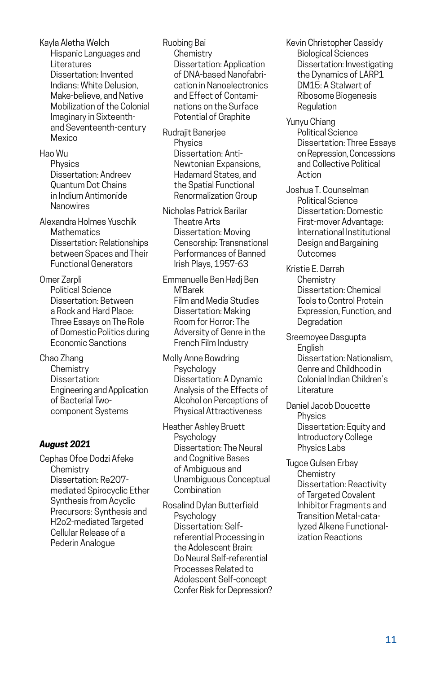Kayla Aletha Welch Hispanic Languages and Literatures Dissertation: Invented Indians: White Delusion, Make-believe, and Native Mobilization of the Colonial Imaginary in Sixteenthand Seventeenth-century **Mexico** 

Hao Wu

Physics Dissertation: Andreev Quantum Dot Chains in Indium Antimonide Nanowires

Alexandra Holmes Yuschik **Mathematics** Dissertation: Relationships between Spaces and Their Functional Generators

Omer Zarpli Political Science Dissertation: Between a Rock and Hard Place: Three Essays on The Role of Domestic Politics during Economic Sanctions

Chao Zhang **Chemistry** Dissertation: Engineering and Application of Bacterial Twocomponent Systems

#### *August 2021*

Cephas Ofoe Dodzi Afeke **Chemistry** Dissertation: Re2O7 mediated Spirocyclic Ether Synthesis from Acyclic Precursors: Synthesis and H2o2-mediated Targeted Cellular Release of a Pederin Analogue

Ruobing Bai **Chemistry** Dissertation: Application of DNA-based Nanofabrication in Nanoelectronics and Effect of Contaminations on the Surface Potential of Graphite

Rudrajit Banerjee **Physics** Dissertation: Anti-Newtonian Expansions, Hadamard States, and the Spatial Functional Renormalization Group

Nicholas Patrick Barilar Theatre Arts Dissertation: Moving Censorship: Transnational Performances of Banned Irish Plays, 1957-63

Emmanuelle Ben Hadj Ben M'Barek Film and Media Studies Dissertation: Making Room for Horror: The Adversity of Genre in the French Film Industry

Molly Anne Bowdring Psychology Dissertation: A Dynamic Analysis of the Effects of Alcohol on Perceptions of Physical Attractiveness

Heather Ashley Bruett **Psychology** Dissertation: The Neural and Cognitive Bases of Ambiguous and Unambiguous Conceptual Combination

Rosalind Dylan Butterfield Psychology Dissertation: Selfreferential Processing in the Adolescent Brain: Do Neural Self-referential Processes Related to Adolescent Self-concept Confer Risk for Depression? Kevin Christopher Cassidy Biological Sciences Dissertation: Investigating the Dynamics of LARP1 DM15: A Stalwart of Ribosome Biogenesis **Regulation** 

Yunyu Chiang Political Science Dissertation: Three Essays on Repression, Concessions and Collective Political Action

- Joshua T. Counselman Political Science Dissertation: Domestic First-mover Advantage: International Institutional Design and Bargaining **Outcomes**
- Kristie E. Darrah **Chemistry** Dissertation: Chemical Tools to Control Protein Expression, Function, and Degradation
- Sreemoyee Dasgupta English Dissertation: Nationalism, Genre and Childhood in Colonial Indian Children's Literature
- Daniel Jacob Doucette Physics Dissertation: Equity and Introductory College Physics Labs
- Tugce Gulsen Erbay **Chemistry** Dissertation: Reactivity of Targeted Covalent Inhibitor Fragments and Transition Metal-catalyzed Alkene Functionalization Reactions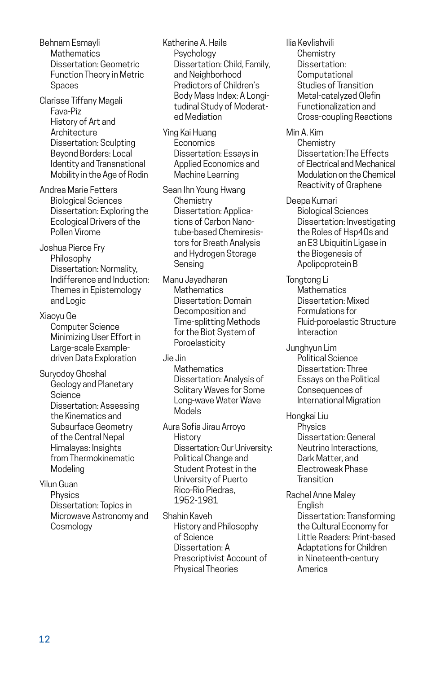- Behnam Esmayli **Mathematics** Dissertation: Geometric Function Theory in Metric Spaces
- Clarisse Tiffany Magali Fava-Piz History of Art and **Architecture** Dissertation: Sculpting Beyond Borders: Local Identity and Transnational Mobility in the Age of Rodin
- Andrea Marie Fetters Biological Sciences Dissertation: Exploring the Ecological Drivers of the Pollen Virome
- Joshua Pierce Fry Philosophy Dissertation: Normality, Indifference and Induction: Themes in Epistemology and Logic

Xiaoyu Ge Computer Science Minimizing User Effort in Large-scale Exampledriven Data Exploration

Suryodoy Ghoshal Geology and Planetary Science Dissertation: Assessing the Kinematics and Subsurface Geometry of the Central Nepal Himalayas: Insights from Thermokinematic Modeling

Yilun Guan **Physics** Dissertation: Topics in Microwave Astronomy and **Cosmology** 

Katherine A. Hails **Psychology** Dissertation: Child, Family, and Neighborhood Predictors of Children's Body Mass Index: A Longitudinal Study of Moderated Mediation

- Ying Kai Huang **Economics** Dissertation: Essays in Applied Economics and Machine Learning
- Sean Ihn Young Hwang **Chemistry** Dissertation: Applications of Carbon Nanotube-based Chemiresistors for Breath Analysis and Hydrogen Storage Sensing

Manu Jayadharan **Mathematics** Dissertation: Domain Decomposition and Time-splitting Methods for the Biot System of **Poroelasticity** 

- Jie Jin **Mathematics** Dissertation: Analysis of Solitary Waves for Some Long-wave Water Wave Models
- Aura Sofia Jirau Arroyo History Dissertation: Our University: Political Change and Student Protest in the University of Puerto Rico-Rio Piedras, 1952-1981

Shahin Kaveh History and Philosophy of Science Dissertation: A Prescriptivist Account of Physical Theories

Ilia Kevlishvili **Chemistry** Dissertation: Computational Studies of Transition Metal-catalyzed Olefin Functionalization and Cross-coupling Reactions

Min A. Kim **Chemistry** Dissertation:The Effects of Electrical and Mechanical Modulation on the Chemical Reactivity of Graphene

- Deepa Kumari Biological Sciences Dissertation: Investigating the Roles of Hsp40s and an E3 Ubiquitin Ligase in the Biogenesis of Apolipoprotein B
- Tongtong Li **Mathematics** Dissertation: Mixed Formulations for Fluid-poroelastic Structure Interaction
- Junghyun Lim Political Science Dissertation: Three Essays on the Political Consequences of International Migration
- Hongkai Liu **Physics** Dissertation: General Neutrino Interactions, Dark Matter, and Electroweak Phase **Transition**
- Rachel Anne Maley English Dissertation: Transforming the Cultural Economy for Little Readers: Print-based Adaptations for Children in Nineteenth-century America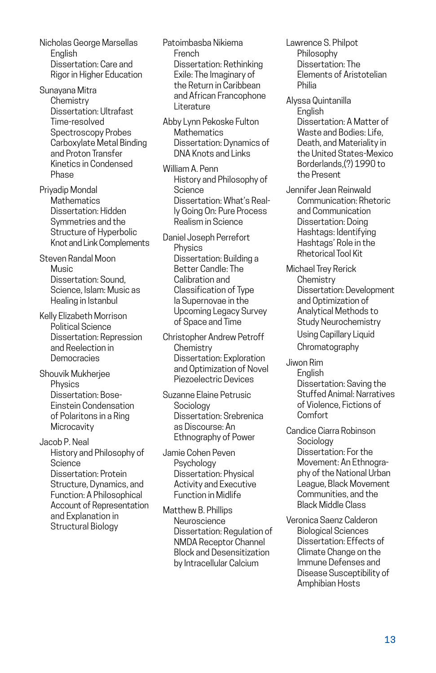Nicholas George Marsellas **English** Dissertation: Care and Rigor in Higher Education

Sunayana Mitra **Chemistry** Dissertation: Ultrafast Time-resolved Spectroscopy Probes Carboxylate Metal Binding and Proton Transfer Kinetics in Condensed Phase

Priyadip Mondal Mathematics Dissertation: Hidden Symmetries and the Structure of Hyperbolic Knot and Link Complements

Steven Randal Moon **Music** Dissertation: Sound, Science, Islam: Music as Healing in Istanbul

Kelly Elizabeth Morrison Political Science Dissertation: Repression and Reelection in **Democracies** 

Shouvik Mukherjee **Physics** Dissertation: Bose-Einstein Condensation of Polaritons in a Ring **Microcavity** 

Jacob P. Neal History and Philosophy of Science Dissertation: Protein Structure, Dynamics, and Function: A Philosophical Account of Representation and Explanation in Structural Biology

Patoimbasba Nikiema French Dissertation: Rethinking Exile: The Imaginary of the Return in Caribbean and African Francophone Literature

Abby Lynn Pekoske Fulton **Mathematics** Dissertation: Dynamics of DNA Knots and Links

William A. Penn History and Philosophy of Science Dissertation: What's Really Going On: Pure Process Realism in Science

Daniel Joseph Perrefort **Physics** Dissertation: Building a Better Candle: The Calibration and Classification of Type Ia Supernovae in the Upcoming Legacy Survey of Space and Time

Christopher Andrew Petroff **Chemistry** Dissertation: Exploration and Optimization of Novel Piezoelectric Devices

Suzanne Elaine Petrusic Sociology Dissertation: Srebrenica as Discourse: An Ethnography of Power

Jamie Cohen Peven Psychology Dissertation: Physical Activity and Executive Function in Midlife

Matthew B. Phillips Neuroscience Dissertation: Regulation of NMDA Receptor Channel Block and Desensitization by Intracellular Calcium

Lawrence S. Philpot Philosophy Dissertation: The Elements of Aristotelian Philia

Alyssa Quintanilla **English** Dissertation: A Matter of Waste and Bodies: Life, Death, and Materiality in the United States-Mexico Borderlands,(?) 1990 to the Present

Jennifer Jean Reinwald Communication: Rhetoric and Communication Dissertation: Doing Hashtags: Identifying Hashtags' Role in the Rhetorical Tool Kit

Michael Trey Rerick **Chemistry** Dissertation: Development and Optimization of Analytical Methods to Study Neurochemistry Using Capillary Liquid

Chromatography

Jiwon Rim **English** Dissertation: Saving the Stuffed Animal: Narratives of Violence, Fictions of Comfort

Candice Ciarra Robinson Sociology Dissertation: For the Movement: An Ethnography of the National Urban League, Black Movement Communities, and the Black Middle Class

Veronica Saenz Calderon Biological Sciences Dissertation: Effects of Climate Change on the Immune Defenses and Disease Susceptibility of Amphibian Hosts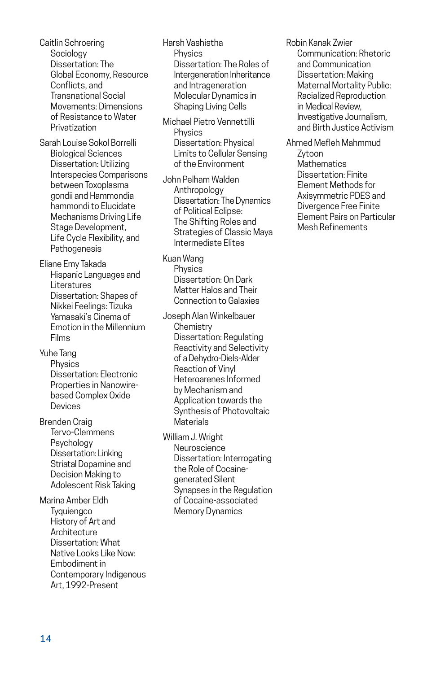- Caitlin Schroering Sociology Dissertation: The Global Economy, Resource Conflicts, and Transnational Social Movements: Dimensions of Resistance to Water Privatization
- Sarah Louise Sokol Borrelli Biological Sciences Dissertation: Utilizing Interspecies Comparisons between Toxoplasma gondii and Hammondia hammondi to Elucidate Mechanisms Driving Life Stage Development, Life Cycle Flexibility, and **Pathogenesis**

Eliane Emy Takada Hispanic Languages and Literatures Dissertation: Shapes of Nikkei Feelings: Tizuka Yamasaki's Cinema of Emotion in the Millennium Films

- Yuhe Tang **Physics** Dissertation: Electronic Properties in Nanowirebased Complex Oxide Devices
- Brenden Craig Tervo-Clemmens **Psychology** Dissertation: Linking Striatal Dopamine and Decision Making to Adolescent Risk Taking

Marina Amber Eldh **Tyquiengco** History of Art and **Architecture** Dissertation: What Native Looks Like Now: Embodiment in Contemporary Indigenous Art, 1992-Present

Harsh Vashistha **Physics** Dissertation: The Roles of Intergeneration Inheritance and Intrageneration Molecular Dynamics in Shaping Living Cells

Michael Pietro Vennettilli **Physics** Dissertation: Physical Limits to Cellular Sensing of the Environment

John Pelham Walden Anthropology Dissertation: The Dynamics of Political Eclipse: The Shifting Roles and Strategies of Classic Maya Intermediate Elites

- Kuan Wang **Physics** Dissertation: On Dark Matter Halos and Their Connection to Galaxies
- Joseph Alan Winkelbauer **Chemistry** Dissertation: Regulating Reactivity and Selectivity of a Dehydro-Diels-Alder Reaction of Vinyl Heteroarenes Informed by Mechanism and Application towards the Synthesis of Photovoltaic **Materials**

William J. Wright

**Neuroscience** Dissertation: Interrogating the Role of Cocainegenerated Silent Synapses in the Regulation of Cocaine-associated Memory Dynamics

Robin Kanak Zwier Communication: Rhetoric and Communication Dissertation: Making Maternal Mortality Public: Racialized Reproduction in Medical Review, Investigative Journalism, and Birth Justice Activism

Ahmed Mefleh Mahmmud Zytoon **Mathematics** Dissertation: Finite Element Methods for Axisymmetric PDES and Divergence Free Finite Element Pairs on Particular Mesh Refinements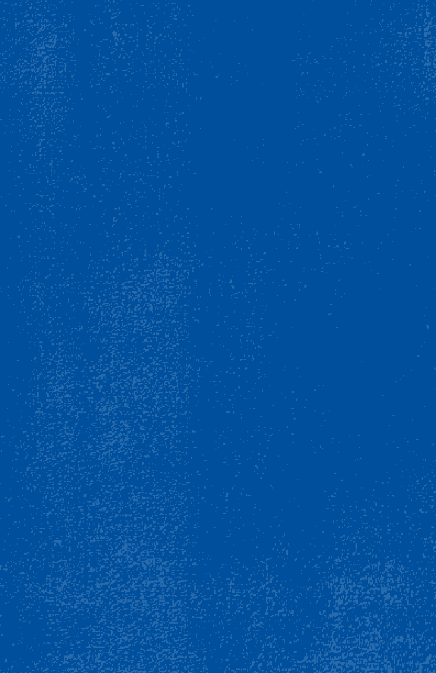